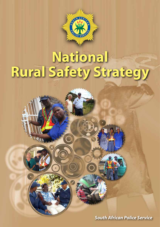

# **National Rural Safety Strategy**

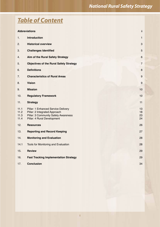## *National Rural Safety Strategy*

# *Table of Content*

|                              | <b>Abbreviations</b>                                                                                                                               | ii                   |
|------------------------------|----------------------------------------------------------------------------------------------------------------------------------------------------|----------------------|
| 1.                           | <b>Introduction</b>                                                                                                                                | $\mathbf{1}$         |
| 2.                           | <b>Historical overview</b>                                                                                                                         | $\sqrt{3}$           |
| 3.                           | <b>Challenges Identified</b>                                                                                                                       | $\overline{5}$       |
| 4.                           | Aim of the Rural Safety Strategy                                                                                                                   | $6\phantom{1}$       |
| 5.                           | <b>Objectives of the Rural Safety Strategy</b>                                                                                                     | $\overline{7}$       |
| 6.                           | <b>Definitions</b>                                                                                                                                 | 8                    |
| 7.                           | <b>Characteristics of Rural Areas</b>                                                                                                              | $9\,$                |
| 8.                           | <b>Vision</b>                                                                                                                                      | $\boldsymbol{9}$     |
| 9.                           | <b>Mission</b>                                                                                                                                     | 10                   |
| 10.                          | <b>Regulatory Framework</b>                                                                                                                        | 10                   |
| 11.                          | <b>Strategy</b>                                                                                                                                    | 11                   |
| 11.1<br>11.2<br>11.3<br>11.4 | Pillar: 1 Enhanced Service Delivery<br>Pillar: 2 Integrated Approach<br><b>Pillar: 3 Community Safety Awareness</b><br>Pillar: 4 Rural Development | 13<br>18<br>23<br>24 |
| 12.                          | <b>Resources</b>                                                                                                                                   | 26                   |
| 13.                          | <b>Reporting and Record Keeping</b>                                                                                                                | 27                   |
| 14.                          | <b>Monitoring and Evaluation</b>                                                                                                                   | 28                   |
| 14.1                         | Tools for Monitoring and Evaluation                                                                                                                | 28                   |
| 15.                          | <b>Review</b>                                                                                                                                      | 29                   |
| 16.                          | <b>Fast Tracking Implementation Strategy</b>                                                                                                       | 29                   |
| 17.                          | <b>Conclusion</b>                                                                                                                                  | 34                   |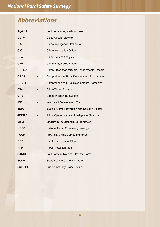# *Abbreviations*

| <b>Agri SA</b> | South African Agricultural Union                 |
|----------------|--------------------------------------------------|
| <b>CCTV</b>    | <b>Close Circuit Television</b>                  |
| <b>CIG</b>     | <b>Crime Intelligence Gatherers</b>              |
| <b>CIO</b>     | <b>Crime Information Officer</b>                 |
| CPA            | <b>Crime Pattern Analysis</b>                    |
| <b>CPF</b>     | <b>Community Police Forum</b>                    |
| <b>CPTED</b>   | Crime Prevention through Environmental Design    |
| <b>CRDP</b>    | <b>Comprehensive Rural Development Programme</b> |
| <b>CRDPF</b>   | <b>Comprehensive Rural Development Framework</b> |
| <b>CTA</b>     | <b>Crime Threat Analysis</b>                     |
| GPS            | <b>Global Positioning System</b>                 |
| IDP.           | Integrated Development Plan                      |
| <b>JCPS</b>    | Justice, Crime Prevention and Security Cluster   |
| <b>JOINTS</b>  | Joints Operational and Intelligence Structure    |
| <b>MTEF</b>    | Medium Term Expenditure Framework                |
| <b>NCCS</b>    | <b>National Crime Combating Strategy</b>         |
| <b>PCCF</b>    | <b>Provincial Crime Combating Forum</b>          |
| <b>RDP</b>     | <b>Rural Development Plan</b>                    |
| <b>RPP</b>     | <b>Rural Protection Plan</b>                     |
| <b>SANDF</b>   | South African National Defence Force             |
| <b>SCCF</b>    | <b>Station Crime Combating Forum</b>             |
| Sub CPF        | Sub Community Police Forum                       |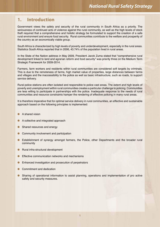## **1. Introduction**

Government views the safety and security of the rural community in South Africa as a priority. The seriousness of continued acts of violence against the rural community, as well as the high levels of stock theft required that a comprehensive and holistic strategy be formulated to support the creation of a safe rural environment and ensure food security. Rural communities contribute to the welfare and prosperity of the country as an economically viable group.

South Africa is characterized by high levels of poverty and underdevelopment, especially in the rural areas. Statistics South Africa reported that in 2006, 43.74% of the population lived in rural areas.

In the State of the Nation address in May 2009, President Jacob Zuma stated that "comprehensive rural development linked to land and agrarian reform and food security" was priority three on the Medium Term Strategic Framework for 2009-2014.

Farmers, farm workers and residents within rural communities are considered soft targets by criminals. This is due to the remoteness of farms, high market value of properties, large distances between farms and villages and the inaccessibility to the police as well as basic infrastructure, such as roads, to support service delivery.

Rural police stations are often isolated and responsible to police vast areas. The extent and high levels of poverty and unemployment within rural communities creates a particular challenge to policing. Communities are less willing to participate in partnerships with the police. Inadequate response to the needs of rural communities and resource constraints hamper the rendering of effective policing in many rural areas.

It is therefore imperative that for optimal service delivery in rural communities, an effective and sustainable approach based on the following principles is implemented:

- A shared vision
- A collective and integrated approach
- Shared resources and energy
- Community involvement and participation
- Establishment of synergy amongst farmers, the Police, other Departments and the broader rural community
- Rural infra-structural development
- Effective communication networks and mechanisms
- Enhanced investigation and prosecution of perpetrators
- Commitment and dedication
- Sharing of operational information to assist planning, operations and implementation of pro active safety and security measures.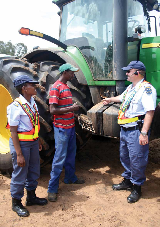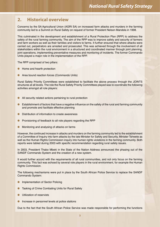## **2. Historical overview**

Concerns by the SA Agricultural Union (AGRI SA) on increased farm attacks and murders in the farming community led to a Summit on Rural Safety on request of former President Nelson Mandela in 1998.

This culminated in the development and establishment of a Rural Protection Plan (RPP) to address the safety of the rural farming community. The aim of the RPP was to improve safety and security of farmers and farm workers as well as their families and visitors to farms. It further ensured that where attacks were carried out, perpetrators are arrested and prosecuted. This was achieved through the involvement of all stakeholders within the rural environment in a structured and coordinated manner through joint planning, joint operations, implementing preventative measures and monitoring of incidents. The former Commando Units played a major role in the implementation of the RPP.

The RPP comprised of two pillars:

- Home and hearth protection
- Area bound reaction forces (Commando Units)

Rural Safety Priority Committees were established to facilitate the above process through the JOINTS structures at all levels. The role the Rural Safety Priority Committees played was to coordinate the following activities amongst all role players:

- All security related actions pertaining to rural protection
- Establishment of factors that have a negative influence on the safety of the rural and farming community and promote and facilitate effective planning
- Distribution of information to create awareness
- Provisioning of feedback to all role players regarding the RPP
- Monitoring and analysing of attacks on farms

However, the continued increase in attacks and murders on the farming community led to the establishment of a Committee of Inquiry into farm attacks by the late Minister for Safety and Security, Minister Tshwete as well as the Human Rights Commission inquiry into human rights violations in the farming community. Both reports were tabled during 2003 with specific recommendation regarding rural safety issues.

In 2003, President Thabo Mbeki in the State of the Nation Address announced the phasing out of the SANDF Commando System and the creation of a new system.

It would further accord with the requirements of all rural communities, and not only focus on the farming community. This fact was echoed by several role players in the rural environment, for example the Human Rights Commission.

The following mechanisms were put in place by the South African Police Service to replace the SANDF Commando System:

- **Implementation of Sector Policing**
- Tasking of Crime Combating Units for Rural Safety
- Utilization of reservists
- **•** Increase in personnel levels at police stations

Due to the fact that the South African Police Service was made responsible for performing the functions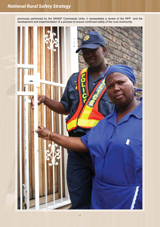previously performed by the SANDF Commando Units, it necessitated a review of the RPP and the development and implementation of a process to ensure continued safety of the rural community.

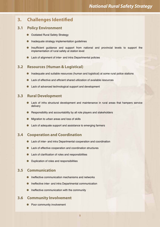## **3. Challenges Identified**

#### **3.1 Policy Environment**

- **Outdated Rural Safety Strategy**
- Inadequate strategy implementation guidelines
- Insufficient guidance and support from national and provincial levels to support the implementation of rural safety at station level
- Lack of alignment of inter- and intra Departmental policies

#### **3.2 Resources (Human & Logistical)**

- Inadequate and suitable resources (human and logistical) at some rural police stations
- Lack of effective and efficient shared utilization of available resources
- Lack of advanced technological support and development

## **3.3 Rural Development**

- Lack of infra structural development and maintenance in rural areas that hampers service delivery
- Responsibility and accountability by all role players and stakeholders
- Migration to urban areas and loss of skills
- Lack of adequate support and assistance to emerging farmers

## **3.4 Cooperation and Coordination**

- Lack of inter- and intra Departmental cooperation and coordination
- Lack of effective cooperation and coordination structures
- Lack of clarification of roles and responsibilities
- **Duplication of roles and responsibilities**

## **3.5 Communication**

- Ineffective communication mechanisms and networks
- Ineffective inter- and intra Departmental communication
- Ineffective communication with the community

#### **3.6 Community Involvement**

Poor community involvement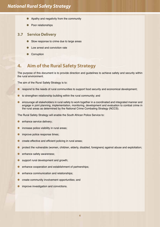- Apathy and negativity from the community
- Poor relationships

#### **3.7 Service Delivery**

- Slow response to crime due to large areas
- Low arrest and conviction rate
- **Corruption**

## **4. Aim of the Rural Safety Strategy**

The purpose of this document is to provide direction and guidelines to achieve safety and security within the rural environment.

The aim of the Rural Safety Strategy is to:

- respond to the needs of rural communities to support food security and economical development;
- to strengthen relationship building within the rural community; and
- encourage all stakeholders in rural safety to work together in a coordinated and integrated manner and engage in joint planning, implementation, monitoring, development and evaluation to combat crime in the rural areas as determined by the National Crime Combating Strategy (NCCS).

The Rural Safety Strategy will enable the South African Police Service to:

- **•** enhance service delivery;
- **O** increase police visibility in rural areas;
- improve police response times;
- **C** create effective and efficient policing in rural areas;
- protect the vulnerable (women, children, elderly, disabled, foreigners) against abuse and exploitation;
- **O** enhance safety awareness;
- **O** support rural development and growth;
- enhance cooperation and establishment of partnerships;
- **O** enhance communication and relationships;
- create community involvement opportunities; and
- improve investigation and convictions.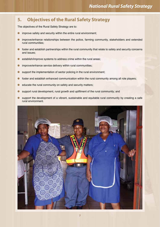## **5. Objectives of the Rural Safety Strategy**

The objectives of the Rural Safety Strategy are to:

- **.** improve safety and security within the entire rural environment;
- improve/enhance relationships between the police, farming community, stakeholders and extended rural communities;
- foster and establish partnerships within the rural community that relate to safety and security concerns and issues;
- establish/improve systems to address crime within the rural areas;
- improve/enhance service delivery within rural communities;
- support the implementation of sector policing in the rural environment;
- foster and establish enhanced communication within the rural community among all role players;
- educate the rural community on safety and security matters;
- support rural development, rural growth and upliftment of the rural community; and
- support the development of a vibrant, sustainable and equitable rural community by creating a safe rural environment.

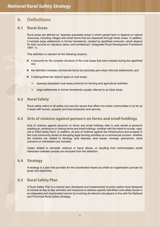## **6. Definitions**

#### **6.1 Rural Areas**

Rural areas are defined as "sparsely populated areas in which people farm or depend on natural resources, including villages and small towns that are dispersed through these areas. In addition, it includes large settlements in former homelands, created by apartheid removals, which depend for their survival on migratory labour and remittances" (Integrated Rural Development Framework 1997: 1).

 This definition is relevant for the following reasons:

- it accounts for the complex structure of the rural areas that were created during the apartheid era;
- the definition includes commercial farms but excludes peri-urban informal settlements; and
- it distinguishes two distinct types of rural areas:
	- ➤ sparsely populated rural areas primarily for farming and agricultural activities
	- ➤ large settlements in former homelands usually referred to as tribal areas.

## **6.2 Rural Safety**

 Rural safety refers to all safety and security issues that affect non-urban communities in so far as it deals with human, property and food protection and security.

#### **6.3 Acts of violence against person/s on farms and small holdings**

 Acts of violence against person/s on farms and small holdings refer to acts aimed at person/s residing on, working on or visiting farms and small holdings, whether with the intent to murder, rape, rob or inflict bodily harm. In addition, all acts of violence against the infrastructure and property in the rural community aimed at disrupting legal farming activities as a commercial concern, whether the motive/s are related to ideology, land disputes, land issues, revenge, grievances, racist concerns or intimidation are included.

 Cases related to domestic violence or liquor abuse, or resulting from commonplace social interaction between people are excluded from the definition.

#### **6.4 Strategy**

 A strategy is a plan that provides for the coordinated means by which an organisation pursues its goals and objectives.

#### **6.5 Rural Safety Plan**

 A Rural Safety Plan is a tactical plan developed and implemented at police station level designed to include all day-to-day activities and measures to address specific identified rural safety issues in an integrated and coordinated manner by involving all relevant role players in line with the National and Provincial Rural Safety Strategy.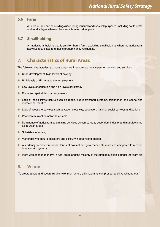#### **6.6 Farm**

 An area of land and its buildings used for agricultural and livestock purposes, including cattle posts and rural villages where subsistence farming takes place.

#### **6.7 Smallholding**

 An agricultural holding that is smaller than a farm, excluding smallholdings where no agricultural activities take place and that is predominantly residential.

## **7. Characteristics of Rural Areas**

The following characteristics of rural areas are important as they impact on policing and services:

- Underdevelopment, high levels of poverty
- High levels of HIV/Aids and unemployment
- Low levels of education and high levels of illiteracy
- Dispersed spatial living arrangements
- Lack of basic infrastructure such as roads, public transport systems, telephones and sports and recreational facilities
- Lack of access to services such as water, electricity, education, training, social services and policing
- Poor communication network systems
- Dominance of agricultural and mining activities as compared to secondary industry and manufacturing as in urban areas
- Subsistence farming
- Vulnerability to natural disasters and difficulty in recovering thereof
- A tendency to prefer traditional forms of political and governance structures as compared to modern bureaucratic systems
- More women than men live in rural areas and the majority of the rural population is under 30 years old

## **8. Vision**

"To create a safe and secure rural environment where all inhabitants can prosper and live without fear."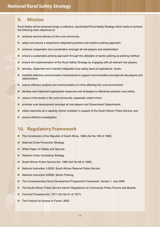## **9. Mission**

Rural Safety will be achieved trough a collective, coordinated Rural Safety Strategy which seeks to achieve the following main objectives to:

- $\bullet$  enhance service delivery to the rural community;
- adopt and ensure a responsive integrated proactive and reactive policing approach;
- enhance cooperation and coordination amongst all role players and stakeholders
- ensure a sustainable policing approach through the utilization of sector policing as policing method;
- ensure the implementation of the Rural Safety Strategy by engaging with all relevant role players;
- develop, implement and maintain integrated rural safety plans at operational levels;
- establish effective communication mechanisms to support communication amongst all role players and stakeholders;
- ensure effective analysis and communication of crime affecting the rural environment;
- develop and implement appropriate measures and strategies to effectively address rural safety;
- reduce crime levels in the rural community, especially violent crime;
- promote rural development amongst all role players and Government Departments;
- utilize reservists as a capacity (force) multiplier in support of the South African Police Service; and
- **•** ensure effective investigation

## **10. Regulatory Framework**

- The Constitution of the Republic of South Africa, 1996 (Act No 108 of 1996)
- **National Crime Prevention Strategy**
- **White Paper on Safety and Security**
- National Crime Combating Strategy
- South African Police Service Act, 1995 (Act No 68 of 1995)
- National Instruction 1/2002: South African Reserve Police Service
- National Instruction 3/2009: Sector Policing
- The Comprehensive Rural Development Programme Framework, Version 1: July 2009
- The South African Police Service Interim Regulations for Community Police Forums and Boards
- Criminal Procedure Act, 1977 (Act No 51 of 1977)
- The Protocol for Access to Farms, 2002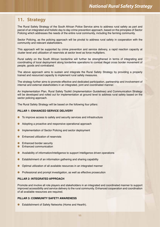## **11. Strategy**

The Rural Safety Strategy of the South African Police Service aims to address rural safety as part and parcel of an integrated and holistic day to day crime prevention approach, based on the principles of Sector Policing which addresses the needs of the entire rural community, including the farming community.

Sector Policing, as the policing approach will be pivotal to address rural safety in cooperation with the community and relevant stakeholders.

This approach will be supported by crime prevention and service delivery, a rapid reaction capacity at cluster level and utilization of reservists at sector level as force multipliers.

Rural safety on the South African borderline will further be strengthened in terms of integrating and coordinating of local deployment along borderline operations to combat illegal cross border movement of people, goods and contraband.

The above approach aims to sustain and integrate the Rural Safety Strategy by providing a properly trained and resourced capacity to implement rural safety measures.

The strategy further aims to promote effective and dedicated participation, partnership and involvement of internal and external stakeholders in an integrated, joint and coordinated manner.

An Implementation Plan, Rural Safety Toolkit (Implementation Guidelines) and Communication Strategy will be developed and rolled out for implementation at ground level to address rural safety based on the sector policing approach.

The Rural Safety Strategy will be based on the following four pillars:

#### **PILLAR 1: ENHANCED SERVICE DELIVERY**

- To improve access to safety and security services and infrastructure
- Adopting a proactive and responsive operational approach
- Implementation of Sector Policing and sector deployment
- **Enhanced utilization of reservists**
- **Enhanced border security**
- Enhanced communication
- Availability of information/intelligence to support Intelligence driven operations
- Establishment of an information gathering and sharing capability
- Optimal utilization of all available resources in an integrated manner
- Professional and prompt investigation, as well as effective prosecution

#### **PILLAR 2: INTEGRATED APPROACH**

Promote and involve all role players and stakeholders in an integrated and coordinated manner to support improved accessibility and service delivery to the rural community. Enhanced cooperation and coordination of all available resources are required.

#### **PILLAR 3: COMMUNITY SAFETY AWARENESS**

● Establishment of Safety Networks (Home and Hearth).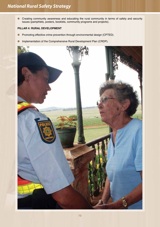## *National Rural Safety Strategy*

● Creating community awareness and educating the rural community in terms of safety and security issues (pamphlets, posters, booklets, community programs and projects).

#### **PILLAR 4: RURAL DEVELOPMENT**

- Promoting effective crime prevention through environmental design (CPTED).
- Implementation of the Comprehensive Rural Development Plan (CRDP).

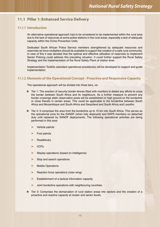### **11.1 Pillar 1: Enhanced Service Delivery**

#### **11.1.1 Introduction**

 An alternative operational approach had to be considered to be implemented within the rural area due to the lack of resources at some police stations in the rural areas, especially a lack of adequate capacity within the Crime Prevention Units.

 Dedicated South African Police Service members strengthened by adequate resources and reservists as force multipliers should be available to support the creation of a safe rural community. In view of this it was decided that the optimal and effective utilization of reservists to implement Sector Policing could address this prevailing situation. It could further support the Rural Safety Strategy and the implementation of the Rural Safety Plans at station level.

 Implementation Toolkits (standard operational procedures) will be developed to support and guide implementation.

#### **11.1.2 Elements of the Operational Concept - Proactive and Responsive Capacity**

The operational approach will be divided into three tiers, viz

- Tier 1: The erection of security border fences fitted with monitors to detect any efforts to cross the border between South Africa and its neighbours. As a further measure to prevent any border crossings static observation posts will be established on high ground on the borderline or close thereto in certain areas. This could be applicable to the borderline between South Africa and Mozambique and South Africa and Swaziland and South Africa and Lesotho.
- Tier 2: It comprises the area from the borderline up to 10 km into South Africa. This serves as the operational zone for the SANDF (when fully deployed) and SAPS members on detached duty until replaced by SANDF deployments. The following operational activities are being performed in this area
	- ➤ Vehicle patrols
	- ➤ Foot patrols
	- **Roadblocks**
	- ➤ VCPs
	- Waylay operations (based on intelligence)
	- ➤ Stop and search operations
	- ➤ Mobile Operations
	- ► Reaction force operations (rotar wing)
	- ➤ Establishment of a tactical information capacity
	- ➤ Joint borderline operations with neighbouring countries.
- Tier 3: Comprises the demarcation of rural station areas into sectors and the creation of a proactive and reactive capacity at cluster and sector levels.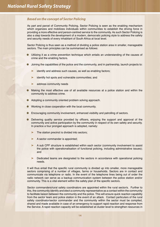#### *Based on the concept of Sector Policing*

 As part and parcel of Community Policing, Sector Policing is seen as the enabling mechanism which organizes and mobilizes individuals within communities to establish the driving force in providing a more effective and person-centred service to the community. As such Sector Policing is also a step towards the development of a modern, democratic policing style to address the safety and security needs of every inhabitant of South Africa at local level.

 Sector Policing is thus seen as a method of dividing a police station area in smaller, manageable sectors. The main principles can be summarised as follows:

- Utilizing it as a crime prevention technique which entails an understanding of the causes of crime and the enabling factors.
- Joining the capabilities of the police and the community, and in partnership, launch projects to:
	- identify and address such causes, as well as enabling factors;
	- ➤ identify hot spots and vulnerable communities; and
	- address community needs
- Making the most effective use of all available resources at a police station and within the community to address crime.
- Adopting a community oriented problem solving approach.
- Working in close cooperation with the local community.
- Encouraging community involvement, enhanced visibility and patrolling of sectors.
- Delivering quality service provided by officers, enjoying the support and approval of the community and active participation by the community in respect of its own safety and security. In practice a four pronged approach is adopted, namely:
	- The station precinct is divided into sectors;
	- ▶ A sector commander is appointed;
	- ➤ A sub CPF structure is established within each sector (community involvement to assist the police with operationalisation of functional policing, including administrative issues); and
	- ➤ Dedicated teams are designated to the sectors in accordance with operational policing needs.

It will thus entail that the specific rural community is divided up into smaller, more manageable sectors comprising of a number of villages, farms or households. Sectors are in contact and communicate via telephone or radio. In the event of the telephone lines being out of order the radio network can serve as a backup communication system between the police station and/or community. This is a vital element within the safety plan of the specific sectors.

 Sector commanders/rural safety coordinators are appointed within the rural sector/s. Further to this, the community identify and elect a community representative as a contact within the community to facilitate liaison between the community and the police. This will ensure quick reaction capability from the sector team and police station in the event of an attack. Contact particulars of the rural safety coordinator/sector commander and the community within the sector must be compiled, shared and made available in case of an emergency to support rapid reaction and response from the Service. A rapid reaction capacity will be established at cluster level to strengthen resources in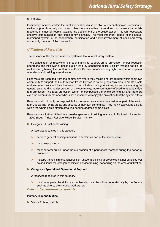rural areas.

 Community members within the rural sector should also be able to rely on their own protection as well as support from neighbours and other members within the rural sector to ensure immediate response in times of trouble, awaiting the deployment of the police station. This will necessitate effective communication and contingency planning. The most important aspect of the abovementioned system is the cooperation, participation and active involvement of each and every community member of the rural sector.

#### *Utilization of Reservists*

The essence of the revised reservist system is that of a voluntary system.

The defined role for reservists is predominantly to support crime prevention and/or reduction operations and initiatives at police station level by enhancing police visibility through patrols, as well as strengthening the South African Police Service capacity during high crime periods, special operations and policing in rural areas.

 Reservists are recruited from the community where they reside and are utilized within their own community to support the South African Police Service in policing their own area to create a safe and secure environment for all to live in. This includes policing functions, as well as ensuring the general safeguarding and protection of the community, more commonly referred to as area safety and protection. The area protection system encompasses the whole community and therefore even the community member who is not a reservist will enjoy the protection that the system offers.

 Reservists will primarily be responsible for the sector area where they reside as part of the sector team, as well as for the safety and security of their own community. They may, however, be utilized within the whole police station area, if a need to address crime exists.

Reservists are further utilized in a broader spectrum of policing as stated in National Instruction 1/2002 (South African Reserve Police Service), namely:

● Category : -Functional Policing

A reservist appointed in this category-

- perform general policing functions in sectors as part of the sector team
- must wear uniform
- must perform duties under the supervision of a permanent member during the period of probation
- ➤ must be trained in relevant aspects of functional policing applicable to his/her duties as well as additional required job specific/in service training, depending on the area of utilization

#### ● **Category: -Specialized Operational Support**

A reservist appointed in this category-

must have particular skills or expertise which can be utilized operationally by the Service such as divers, pilots, social workers, etc

*Duties to be performed by reservists*

#### **Primary responsibilities**

**Visible Policing patrols**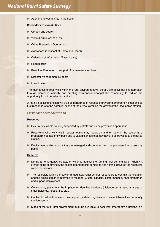Attending to complaints in the sector

#### **Secondary responsibilities**

- Cordon and search
- Visits (Farms, schools, etc)
- **Crime Prevention Operations**
- Awareness in respect of Home and Hearth
- Collection of information (Eyes & ears)
- **Road blocks**
- Reaction, if required in support of permanent members
- **Disaster Management Support**
- Investigation

 The main focus of reservists within the rural environment will be of a pro active policing approach through increased visibility and creating awareness amongst the community to reduce the opportunity for crime to be committed.

 A reactive policing function will also be performed in respect of prevailing emergency situations as first responders to the potential scene of the crime, awaiting the arrival of the local police station.

#### *Cluster and Sector Activation*

#### **Proactive**

- Day–to-day visible policing supported by patrols and crime prevention operations.
- Reservists who work within sector teams may report on and off duty in the sector at a predetermined assembly point due to vast distances that may have to be travelled to the police station.
- Deployment and other activities are managed and controlled from the predetermined assembly points.

#### **Reactive**

- During an emergency, eg acts of violence against the farming/rural community or Priority A crimes being committed, the sector commander is contacted and he/she activates the reservists within the sectors.
- The reservists within the sector immediately react as first responders to contain the situation and the police station is informed to respond. Cluster capacity is informed to further strengthen and support deployment.
- Contingency plans must be in place for identified incidents (violence on farms/rural areas or small holdings, floods, fire, etc).
- Contact lists/directories must be compiled, updated regularly and be available at the community service centre.
- Maps of the total rural environment must be available to deal with emergency situations in a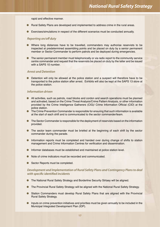rapid and effective manner.

- Rural Safety Plans are developed and implemented to address crime in the rural areas.
- Exercises/simulations in respect of the different scenarios must be conducted annually.

#### *Reporting on/off duty*

- Where long distances have to be travelled, commanders may authorise reservists to be inspected at predetermined assembling points and be placed on duty by a senior permanent member or Sector Commander to perform patrols and be deployed during emergencies.
- The senior permanent member must telephonically or via radio report to the community service centre commander and request that the reservists be placed on duty by the latter and be issued with a SAPS 10 number.

#### *Arrest and Detention*

Detention will only be allowed at the police station and a suspect will therefore have to be transported to the police station after arrest. Exhibits will also be kept at the SAPS 13 store at the police station.

#### *Information driven*

- All activities, such as patrols, road blocks and cordon and search operations must be planned and activated, based on the Crime Threat Analysis/Crime Pattern Analysis, or other information provided by the Crime Intelligence Gatherers (CIG)/ Crime Information Official (CIO) at the police station.
- The Crime Prevention Commander is responsible for ensuring that such information is available at the start of each shift and is communicated to the sector commander/team.
- The Sector Commander is responsible for the deployment of reservists based on the information provided.
- The sector team commander must be briefed at the beginning of each shift by the sector commander during the parade.
- Information reports must be completed and handed over during change of shifts to station management and Crime Information Centres for verification and dissemination.
- Informer databases must be established and maintained at police station level.
- Note of crime indicators must be recorded and communicated.
- Sector Reports must be completed.

 *Development and Implementation of Rural Safety Plans and Contingency Plans to deal with specific identified incidents*

- The National Rural Safety Strategy and Borderline Security Strtaey will be aligned.
- The Provincial Rural Safety Strategy will be aligned with the National Rural Safety Strategy.
- Station Commanders must develop Rural Safety Plans that are aligned with the Provincial Rural Safety Strategy.
- Inputs on crime prevention initiatives and priorities must be given annually to be included in the Municipal Integrated Development Plan (IDP).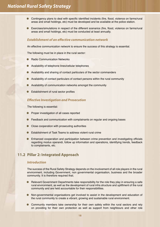- Contingency plans to deal with specific identified incidents (fire, flood, violence on farms/rural areas and small holdings, etc) must be developed and be available at the police station.
- Exercises/simulations in respect of the different scenarios (fire, flood, violence on farms/rural areas and small holdings, etc) must be conducted at least annually.

#### *Establishment of an effective communication network*

An effective communication network to ensure the success of this strategy is essential.

The following must be in place in the rural sector:

- **Radio Communication Networks**
- Availability of telephone lines/cellular telephones
- Availability and sharing of contact particulars of the sector commanders
- Availability of contact particulars of contact persons within the rural community
- Availability of communication networks amongst the community
- **Establishment of rural sector profiles**

#### *Effective Investigation and Prosecution*

The following is essential:

- Proper investigation of all cases reported
- Feedback and communication with complainants on regular and ongoing bases
- Close cooperation with prosecuting authorities
- **Establishment of Task Teams to address violent rural crime**
- Enhanced cooperation and participation between crime prevention and investigating officials regarding modus operandi, follow up information and operations, identifying trends, feedback to complainants, etc.

## **11.2 Pillar 2: Integrated Approach**

#### *Introduction*

 The success of the Rural Safety Strategy depends on the involvement of all role players in the rural environment, including Government, non governmental organisation, business and the broader community. It is therefore required that;

- Relevant Government Departments take responsibility for the role they play in ensuring a safe rural environment, as well as the development of rural infra structure and upliftment of the rural community and are held accountable for their responsibilities.
- Non-governmental organisations get involved to assist in the development and education of the rural community to create a vibrant, growing and sustainable rural environment.
- Community members take ownership for their own safety within the rural sectors and rely on providing for their own protection as well as support from neighbours and other role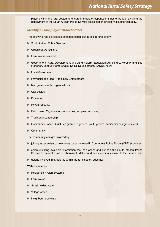players within the rural sectors to ensure immediate response in times of trouble, awaiting the deployment of the South African Police Service police station or reservist sector capacity.

#### *Identify all role players/stakeholders*

The following role players/stakeholders could play a role in rural safety:

- South African Police Service
- **Organised Agriculture**
- **Farm workers unions**
- Government (Rural Development and Land Reform, Education. Agriculture, Forestry and Sea Fisheries, Labour, Home Affairs, Social Development, SANDF, NPA)
- **Local Government**
- **Provincial and local Traffic Law Enforcement**
- Non governmental organisations
- Civil society
- **Business**
- **Private Security**
- Faith based Organisations (churches, temples, mosques)
- **Traditional Leadership**
- Community Based Structures (women's groups, youth groups, senior citizens groups, etc)
- **Community**

The community can get involved by:

- joining as reservists or volunteers, or get involved in Community Police Forum (CPF) structures;
- communicating available information that can assist and support the South African Police Service to prevent crime or otherwise to detect and arrest criminals known to the Service; and
- getting involved in structures within the rural sector, such as:

#### **Watch systems**

- **Residential Watch Systems**
- **Farm watch**
- Small holding watch
- **Village watch**
- Neighbourhood watch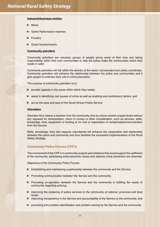#### **Industrial/business entities**

- **Mines**
- Game Parks/nature reserves
- **Forestry**
- Guest houses/resorts

#### **Community patrollers**

 Community patrollers are voluntary groups of people giving some of their time and taking responsibility within their own communities to help the police make the communities which they reside in safer.

 Community patrollers will fall within the domain of the sector commander/rural safety coordinator. Community patrollers will enhance the relationship between the police and communities and it gets people to embrace their role in crime prevention.

The purpose of community patrollers is to:

- provide capacity in the areas within which they reside;
- assist in identifying root causes of crime as well as enabling and contributory factors; and
- act as the eyes and ears of the South African Police Service

#### **Volunteers**

 Volunteer thus means a member from the community who by choice renders unpaid duties without any requests for remuneration, return in money or other consideration, such as services, skills, knowledge, time, equipment or funding at no cost or expectation of compensation/remuneration from the Service.

 Skills, knowledge, time and capacity volunteered will enhance the cooperation and relationship between the police and community and thus facilitate the successful implementation of the Rural Safety Strategy.

#### *Community Police Forums (CPF's)*

 The involvement of the CPF's in community projects and initiatives that would support the upliftment of the community, addressing socio-economic issues and address crime prevention are essential.

Objectives of the Community Police Forums

- Establishing and maintaining a partnership between the community and the Service;
- Promoting communication between the Service and the community;
- Promoting co-operation between the Service and the community in fulfilling the needs of community regarding policing;
- improving the rendering of police services to the community at national, provincial and local levels;
- improving transparency in the Service and accountability of the Service to the community; and
- promoting joint problem identification and problem-solving by the Service and the community.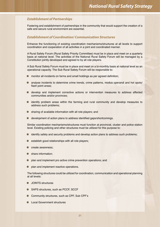#### *Establishment of Partnerships*

 Fostering and establishment of partnerships in the community that would support the creation of a safe and secure rural environment are essential.

#### *Establishment of Coordination/ Communication Structures*

 Enhance the functioning of existing coordination mechanisms/structures at all levels to support coordination and cooperation of all activities in a joint and coordinated manner.

 A Rural Safety Forum (Rural Safety Priority Committee) must be in place and meet on a quarterly basis at national level. The activities of the National Rural Safety Forum will be managed by a Constitution jointly developed and agreed to by all role players.

 A Sub Rural Safety Forum must be in place and meet on a bi-monthly basis at national level as an operational capacity. The Sub Rural Safety Forum will be responsible to:

- monitor all incidents on farms and small holdings as per agreed definition;
- analyse incidents to determine crime trends, crime patterns, modus operandi and hot spots/ flash point areas;
- develop and implement corrective actions or intervention measures to address affected communities and/or provinces;
- identify problem areas within the farming and rural community and develop measures to address such problems;
- sharing of available information with all role players; and
- development of action plans to address identified gaps/shortcomings.

 Similar coordination mechanisms/structures must function at provincial, cluster and police station level. Existing policing and other structures must be utilized for this purpose to:

- identify safety and security problems and develop action plans to address such problems;
- establish good relationships with all role players;
- create awareness;
- share information;
- plan and implement pro active crime prevention operations; and
- plan and implement reactive operations.

 The following structures could be utilized for coordination, communication and operational planning at all levels:

- JOINTS structures
- SAPS structures, such as PCCF, SCCF
- Community structures, such as CPF, Sub CPF's
- **Local Government structures**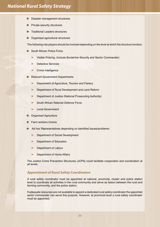- Disaster management structures
- **Private security structures**
- **Traditional Leaders structures**
- Organised agricultural structures

The following role players should be involved depending on the level at which the structure function:

- South African Police Force
	- ➤ Visible Policing, (include Borderline Security and Sector Commander)
	- ➤ Detective Services
	- ➤ Crime Intelligence
- **Relevant Government Departments** 
	- ➤ Department of Agriculture, Tourism and Fishery
	- ➤ Department of Rural Development and Land Reform
	- ➤ Department of Justice (National Prosecuting Authority)
	- ➤ South African National Defence Force
	- ➤ Local Government
- **Organised Agriculture**
- **Farm workers Unions**
- Ad hoc Representatives depending on identified issues/problems:
	- ➤ Department of Social Development
	- ➤ Department of Education
	- ▶ Department of Labour
	- ➤ Department of Home Affairs

 The Justice Crime Prevention Structures (JCPS) could facilitate cooperation and coordination at all levels.

#### *Appointment of Rural Safety Coordinators*

 A rural safety coordinator must be appointed at national, provincial, cluster and police station level to coordinate all activities in the rural community and serve as liaison between the rural and farming community, and the police station.

 If adequate resources are not available to appoint a dedicated rural safety coordinator the appointed sector commander can serve this purpose. However, at provincial level a rural safety coordinator must be appointed.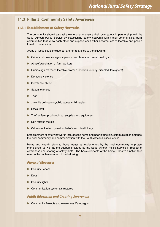## **11.3 Pillar 3: Community Safety Awareness**

#### **11.3.1 Establishment of Safety Networks**

 The community should also take ownership to ensure their own safety in partnership with the South African Police Service by establishing safety networks within their communities. Rural communities that know each other and support each other become less vulnerable and pose a threat to the criminal.

Areas of focus could include but are not restricted to the following:

- Crime and violence against person/s on farms and small holdings
- Abuse/exploitation of farm workers
- Crimes against the vulnerable (women, children, elderly, disabled, foreigners)
- Domestic violence
- Substance abuse
- Sexual offences
- **Theft**
- Juvenile delinquency/child abuse/child neglect
- **Stock theft**
- Theft of farm produce, input supplies and equipment
- Non ferrous metals
- Crimes motivated by myths, beliefs and ritual killings

 Establishment of safety networks includes the home and hearth function, communication amongst the rural community and communication with the South African Police Service.

 Home and Hearth refers to those measures implemented by the rural community to protect themselves, as well as the support provided by the South African Police Service in respect of awareness and sharing of safety hints. The basic elements of the home & hearth function thus refer to the implementation of the following:

#### *Physical Measures*

- **Security Fences**
- **Dogs**
- **Security lights**
- Communication systems/structures

#### *Public Education and Creating Awareness*

**Community Projects and Awareness Campaigns**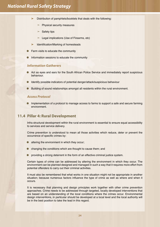- ➤ Distribution of pamphlets/booklets that deals with the following:
	- $\triangleright$  Physical security measures
	- $>$  Safety tips
	- $\geq$  Legal implications (Use of Firearms, etc)
- ➤ Identification/Marking of homesteads
- Farm visits to educate the community
- Information sessions to educate the community

#### *Information Gatherers*

- Act as eyes and ears for the South African Police Service and immediately report suspicious behaviour.
- Identify possible indicators of potential danger/attack/suspicious behaviour
- Building of sound relationships amongst all residents within the rural environment.

#### *Access Protocol*

Implementation of a protocol to manage access to farms to support a safe and secure farming environment.

#### **11.4 Pillar 4: Rural Development**

 Infra structural development within the rural environment is essential to ensure equal accessibility to services and service delivery.

 Crime prevention is understood to mean all those activities which reduce, deter or prevent the occurrence of specific crimes by:

- altering the environment in which they occur;
- changing the conditions which are thought to cause them; and
- **providing a strong deterrent in the form of an effective criminal justice system.**

 Certain types of crime can be addressed by altering the environment in which they occur. The environment can be planned designed and managed in such a way that it requires more effort from potential offenders to carry out their criminal activities.

 It must also be remembered that what works in one situation might not be appropriate in another situation; because numerous factors influence the type of crime as well as where and when it occurs.

 It is necessary that planning and design principles work together with other crime prevention approaches. Crime needs to be addressed through targeted, locally developed interventions that are based on an understanding of the local conditions where the crimes occur. Environmental design interventions, in particular should be developed at a local level and the local authority will be in the best position to take the lead in this regard.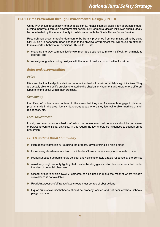#### **11.4.1 Crime Prevention through Environmental Design (CPTED)**

 Crime Prevention through Environmental Design (CPTED) is a multi disciplinary approach to deter criminal behaviour through environmental design. Environmental design initiatives should ideally be coordinated by the local authority in collaboration with the South African Police Service.

Research has shown that offenders cannot be literally prevented from committing crime by using CPTED as it is dependent upon changes to the physical environment that will cause an offender to make certain behavioural decisions. Thus CPTED is:

- changing the way communities/environment are designed to make it difficult for criminals to operate; and
- redesign/upgrade existing designs with the intent to reduce opportunities for crime.

#### *Roles and responsibilities*

#### *Police*

It is essential that local police stations become involved with environmental design initiatives. They are usually able to identify problems related to the physical environment and know where different types of crime occur within their precincts.

#### *Community*

 Identifying of problems encountered in the areas that they use, for example engage in clean up programs within the area, identify dangerous areas where they feel vulnerable, marking of their residences, etc.

#### *Local Government*

 Local government is responsible for infrastructure development maintenance and strict enforcement of bylaws to control illegal activities. In this regard the IDP should be influenced to support crime prevention.

#### *CPTED and the Rural Community*

- High dense vegetation surrounding the property, gives criminals a hiding place
- Entrances/gates demarcated with thick bushes/flowers make it easy for criminals to hide
- Property/house numbers should be clear and visible to enable a rapid response by the Service
- Avoid very bright security lighting that creates blinding glare and/or deep shadows that hinder the view of potential observers
- Closed circuit television (CCTV) cameras can be used in make the most of where window surveillance is not available
- Roads/intersections/off ramps/stop streets must be free of obstructions
- Liquor outlets/taverns/shebeens should be properly located and not near crèches, schools, playgrounds, etc.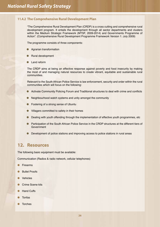#### **11.4.2 The Comprehensive Rural Development Plan**

 "The Comprehensive Rural Development Plan (CRDP) is a cross cutting and comprehensive rural development program. It entails the development through all sector departments and clusters within the Medium Strategic Framework (MTSF, 2009-2014) and Governments Programme of Action". (Comprehensive Rural Development Programme Framework Version 1: July 2009)

The programme consists of three components:

- **Agrarian transformation**
- Rural development
- **Land reform**

 The CRDP aims at being an effective response against poverty and food insecurity by making the most of and managing natural resources to create vibrant, equitable and sustainable rural communities.

 Relevant to the South African Police Service is law enforcement, security and order within the rural communities which will focus on the following:

- Activate Community Policing Forum and Traditional structures to deal with crime and conflicts
- Neighbourhood watch systems and unity amongst the community
- Fostering of a strong sense of Ubuntu
- Villagers committed to safety in their homes
- Dealing with youth offending through the implementation of effective youth programmes, etc
- Participation of the South African Police Service in the CRDP structures at the different tiers of Government
- Development of police stations and improving access to police stations in rural areas

## **12. Resources**

The following basic equipment must be available:

Communication (Radios & radio network, cellular telephones)

- Firearms
- **Bullet Proofs**
- **Vehicles**
- Crime Scene kits
- **Hand Cuffs**
- **Tonfas**
- **Torches**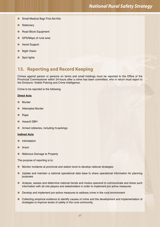- Small Medical Bag/ First Aid Kits
- Stationary
- **Road Block Equipment**
- GPS/Maps of rural area
- **Aerial Support**
- **Night Vision**
- **Spot lights**

## **13. Reporting and Record Keeping**

Crimes against person or persons on farms and small holdings must be reported to the Office of the Provincial Commissioner within 24-hours after a crime has been committed, who in return must report to the Divisions: Visible Policing and Crime Intelligence.

Crime to be reported is the following:

#### **Direct Acts**

- Murder
- **Attempted Murder**
- **Rape**
- **Assault GBH**
- Armed robberies, including hi-jackings

#### **Indirect Acts**

- Intimidation
- **Arson**
- Malicious Damage to Property

The purpose of reporting is to:

- Monitor incidents at provincial and station level to develop national strategies
- Update and maintain a national operational data base to share operational information for planning purposes
- Analyse, assess and determine national trends and modus operandi to communicate and share such information with all role players and stakeholders in order to implement pro active measures
- Develop and implement pro-active measures to address crime in the rural environment
- Collecting empirical evidence to identify causes of crime and the development and implementation of strategies to improve levels of safety in the rural community.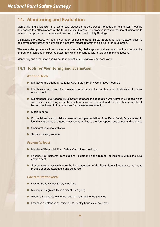## **14. Monitoring and Evaluation**

Monitoring and evaluation is a systematic process that sets out a methodology to monitor, measure and assess the effectiveness of the Rural Safety Strategy. The process involves the use of indicators to measure the processes, outputs and outcomes of the Rural Safety Strategy.

Ultimately, the process will identify whether or not the Rural Safety Strategy is able to accomplish its objectives and whether or not there is a positive impact in terms of policing in the rural areas.

The evaluation process will help determine shortfalls, challenges as well as good practices that can be shared and highlight unexpected outcomes which can lead to future valuable planning lessons.

Monitoring and evaluation should be done at national, provincial and local levels.

## **14.1 Tools for Monitoring and Evaluation**

#### *National level*

- Minutes of the quarterly National Rural Safety Priority Committee meetings
- Feedback returns from the provinces to determine the number of incidents within the rural environment
- Maintenance of a National Rural Safety database in cooperation with Crime Intelligence which will assist in identifying crime threats, trends, modus operandi and hot spot stations which will be communicated to the provinces for the necessary attention
- Media reports
- Provincial and station visits to ensure the implementation of the Rural Safety Strategy and to identify challenges and good practices as well as to provide support, assistance and guidance
- Comparative crime statistics
- Service delivery surveys

#### *Provincial level*

- Minutes of Provincial Rural Safety Committee meetings
- Feedback of incidents from stations to determine the number of incidents within the rural environment
- Station visits to assists/ensure the implementation of the Rural Safety Strategy, as well as to provide support, assistance and guidance

#### *Cluster/ Station level*

- Cluster/Station Rural Safety meetings
- Municipal Integrated Development Plan (IDP)
- Report all incidents within the rural environment to the province
- Establish a database of incidents, to identify trends and hot spots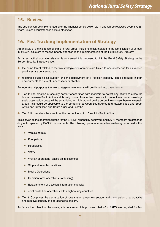## **15. Review**

The strategy will be implemented over the financial period 2010 - 2014 and will be reviewed every five (5) years, unless circumstances dictate otherwise.

## **16. Fast Tracking Implementation of Strategy**

An analysis of the incidence of crime in rural areas, including stock theft led to the identification of at least 40 x SAPS Clusters to receive priority attention re the implementation of the Rural Safety Strategy.

As far as tactical operationalisation is concerned it is proposed to link the Rural Safety Strategy to the Border Security Strategy since;

- the crime threat related to the two strategic environments are linked to one another as far as various provinces are concerned; and
- resources such as air support and the deployment of a reaction capacity can be utilized in both environments to prevent unnecessary duplication.

For operational purposes the two strategic environments will be divided into three tiers, viz:

- Tier 1: The erection of security border fences fitted with monitors to detect any efforts to cross the border between South Africa and its neighbours. As a further measure to prevent any border crossings static observation posts will be established on high ground on the borderline or close thereto in certain areas. This could be applicable to the borderline between South Africa and Mozambique and South Africa and Swaziland and South Africa and Lesotho.
- Tier 2: It comprises the area from the borderline up to 10 km into South Africa.

This serves as the operational zone for the SANDF (when fully deployed) and SAPS members on detached duty until replaced by SANDF deployments. The following operational activities are being performed in this area

- ➤ Vehicle patrols
- ▶ Foot patrols
- ▶ Roadblocks
- ➤ VCPs
- ➤ Waylay operations (based on intelligence)
- ➤ Stop and search operations
- ➤ Mobile Operations
- ► Reaction force operations (rotar wing)
- ➤ Establishment of a tactical information capacity
- ➤ Joint borderline operations with neighbouring countries.
- Tier 3: Comprises the demarcation of rural station areas into sectors and the creation of a proactive and reactive capacity to operationalise sectors.

As far as the roll-out of the strategy is concerned it is proposed that 40 x SAPS are targeted for fast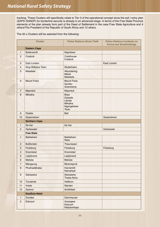tracking. These Clusters will specifically relate to Tier 3 of the operational concept since the exit / entry plan (SAPS /SANDF) for borderline security is already in an advanced stage. In terms of the Free State Province elements of the plan already form part of the Deed of Settlement in the case Free State Agriculture and 4 others/The President of the Republic of South Africa and 13 others.

The 40 x Clusters will be selected from the following:

| <b>Cluster</b>            |                      | <b>Police Stations Stock Theft</b>                                                         | <b>Police Stations Incidents on</b><br><b>Farms and Smallholdings</b> |
|---------------------------|----------------------|--------------------------------------------------------------------------------------------|-----------------------------------------------------------------------|
|                           | <b>Eastern Cape</b>  |                                                                                            |                                                                       |
| 1                         | <b>Butterworth</b>   | Nqamkwe                                                                                    |                                                                       |
| $\overline{c}$            | Cradock              | Cookhouse<br>Cradock                                                                       |                                                                       |
| 3                         | East London          |                                                                                            | East London                                                           |
| $\overline{\mathbf{4}}$   | King Williams Town   | Stutterheim                                                                                |                                                                       |
| 5                         | <b>Matatiele</b>     | Afsondering<br>Maluti<br>Matatiele                                                         |                                                                       |
| 6                         | <b>Mount Frere</b>   | <b>Mount Frere</b><br>Qumbu<br>Sulenkama                                                   |                                                                       |
| $\overline{7}$            | Mqanduli             | Mqanduli                                                                                   |                                                                       |
| $\,8\,$                   | Mthatha              | <b>Bitye</b><br><b>Dalasile</b><br>Libode<br><b>Mthatha</b><br>Ngangelizwe<br><b>Tsolo</b> |                                                                       |
| 9                         | Peddie               | Bell                                                                                       |                                                                       |
| 10                        | Queenstown           |                                                                                            | Queenstown                                                            |
|                           | <b>Northern Cape</b> |                                                                                            |                                                                       |
| $\mathbf{1}$              | De Aar               | De Aar                                                                                     |                                                                       |
| $\overline{c}$            | Hartswater           |                                                                                            | Hartswater                                                            |
|                           | <b>Free State</b>    |                                                                                            |                                                                       |
| $\mathbf{1}$              | <b>Bethlehem</b>     | Bethlehem<br>Reitz                                                                         |                                                                       |
| 2                         | <b>Bultfontein</b>   | Theunissen                                                                                 |                                                                       |
| $\ensuremath{\mathsf{3}}$ | Ficksburg            | Ficksburg                                                                                  | Ficksburg                                                             |
| $\overline{4}$            | Kroonstad            | Kroonstad                                                                                  |                                                                       |
| 5                         | Ladybrand            | Ladybrand                                                                                  |                                                                       |
| 6                         | Mafube               | Mafube                                                                                     |                                                                       |
| $\overline{7}$            | Mangaung             | Bloemspruit                                                                                |                                                                       |
| $\bf 8$                   | Phuthaditjhaba       | Harrismith<br>Namahadi                                                                     |                                                                       |
| $\boldsymbol{9}$          | Selosesha            | Selosesha<br>Thaba-Nchu                                                                    |                                                                       |
| 10                        | Tumahole             | Heilbron                                                                                   |                                                                       |
| 11                        | Vrede                | Warden                                                                                     |                                                                       |
| 12                        | Zastron              | Smithfield                                                                                 |                                                                       |
|                           | <b>KwaZulu-Natal</b> |                                                                                            |                                                                       |
| $\mathbf{1}$              | Dundee               | Dannhauser                                                                                 |                                                                       |
| $\overline{c}$            | Estcourt             | Amangwe<br>Estcourt<br>Ntabamhlope                                                         |                                                                       |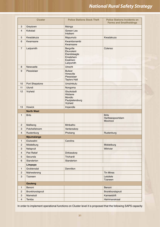|                | <b>Cluster</b>     | <b>Police Stations Stock Theft</b>                                           | <b>Police Stations Incidents on</b><br><b>Farms and Smallholdings</b> |
|----------------|--------------------|------------------------------------------------------------------------------|-----------------------------------------------------------------------|
| 3              | Greytown           | Msinga                                                                       |                                                                       |
| $\overline{4}$ | Kokstad            | Gowan Lea<br>Intsikeni                                                       |                                                                       |
| 5              | Kwadakuza          | Mapumulo                                                                     | Kwadakuza                                                             |
| $\,6$          | Kwamsane           | Kwambonambi<br>Kwamsane                                                      |                                                                       |
| $\overline{7}$ | Ladysmith          | Bergville<br>Ekuvukeni<br>Elandslaagte<br>Ematsheni<br>Ezakheni<br>Ladysmith | Colenso                                                               |
| 8              | Newcastle          | <b>Utrecht</b>                                                               |                                                                       |
| 9              | Plessislaer        | <b>Bulwer</b><br>Himeville<br>Plessislaer<br><b>Taylors Halt</b>             |                                                                       |
| 10             | Port Shepstone     | Umzimkulu                                                                    |                                                                       |
| 11             | Ulundi             | Nongoma                                                                      |                                                                       |
| 12             | Vryheid            | Gluckstadt<br>Hlobane<br>Mondlo<br>Paulpietersburg<br>Vryheid                |                                                                       |
| 13             | Howick             | Impendle                                                                     |                                                                       |
|                | <b>North West</b>  |                                                                              |                                                                       |
| $\mathbf{1}$   | <b>Brits</b>       |                                                                              | <b>Brits</b><br>Hartbeespoortdam<br>Mooinooi                          |
| 2              | Mafikeng           | Mmbatho                                                                      |                                                                       |
| 3              | Potchefstroom      | Ventersdorp                                                                  |                                                                       |
| $\overline{4}$ | Rustenburg         | Phokeng                                                                      | Rustenburg                                                            |
|                | <b>Mpumalanga</b>  |                                                                              |                                                                       |
| $\mathbf{1}$   | Elukwatini         | Carolina                                                                     |                                                                       |
| $\overline{c}$ | Middelburg         |                                                                              | Middelburg                                                            |
| 3              | Nelspruit          |                                                                              | Witrivier                                                             |
| $\overline{4}$ | <b>Piet Retief</b> | Dirkiesdorp                                                                  |                                                                       |
| 5              | Secunda            | Trichardt                                                                    |                                                                       |
| 6              | Standerton         | Standerton                                                                   |                                                                       |
|                | Limpopo            |                                                                              |                                                                       |
| $\mathbf{1}$   | Groblersdal        | Dennilton                                                                    |                                                                       |
| $\overline{c}$ | Mahwelereng        |                                                                              | <b>Tin Mines</b>                                                      |
| 3              | Tzaneen            |                                                                              | Letsitele<br><b>Tzaneen</b>                                           |
|                | Gauteng            |                                                                              |                                                                       |
| $\mathbf{1}$   | Benoni             |                                                                              | Benoni                                                                |
|                |                    |                                                                              |                                                                       |
| $\overline{c}$ | Bronkhorstspruit   |                                                                              | Bronkhorstspruit                                                      |
| 3              | Mamelodi           |                                                                              | Kameeldrift                                                           |

In order to implement operational functions on Cluster level it is proposed that the following SAPS capacity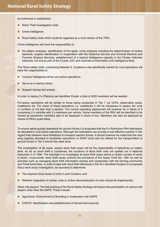be enhanced or established:

- **Stock Theft Investigation Units**
- Crime Intelligence
- Rural Safety Units which could be regarded as a rural version of the TRTs.

Crime Intelligence will have the responsibility to:

Do pattern analyses, identification of hot spots, crime analyses including the determination of modus operandi, suspect identification in cooperation with the Detective Service and Criminal Records and Forensic Science Services, establishment of a tactical intelligence capacity in the Cluster (informer networks, hot line as part of the Cluster JOC and channels of information and intelligence flow).

The Rural safety Units, comprising between 2 -3 platoons and specifically trained for rural operations will have the responsibility to:

- Conduct intelligence driven pro-active operations;
- Serve as a reaction force;
- Suspect tracing and arrests.

In order to deploy 3 x Platoons per identified Cluster a total of 4320 members will be needed.

Pro-active operations will be similar to those being conducted in Tier 1 viz VCPs, observation posts, roadblocks etc. For some of these operations i.e. roadblocks it will be necessary to deploy the units in numbers of not less than a section. The normal operating deployment will however be in sticks of 4 comprising 2 x vehicles with 2 x members per vehicle. Some members of the RSU will be identified to be trained as equestrian members also to be deployed in sticks of four. Members can also be deployed by means of Rhino quad bikes.

To ensure aerial-guided operations for ground forces it is proposed that the 6 x Robinsons R44 helicopters be allocated to rural safety operations. Although the helicopters can provide a cost effective solution in this regard they however have limitations to transport reaction forces. It should however be noted that the rotor wing capacity allocated to borderline operations i.e SAAF could also be utilized for the transportation of ground forces in Tier 3 should the need arise.

The investigation of all cases, except stock theft cases will be the responsibility of detectives on station level. As far as stock theft is concerned, the functions of stock theft units are spelled out in National Instruction 2 of 1999. The mandate is to investigate all stock theft cases where a certain number of stock is stolen, cross-border stock theft cases, enforce the provisions of the Game Theft Act, 1991 as well as activities such as managing stock theft information centres and cooperation with the farming community and Tribal Authorities. In order to deal with stock theft effectively in the 40 x identified Clusters it is proposed that a work study investigation, be launched to determine:

- The required force levels of units in such Clusters: and
- Whether integration of certain units or further decentralization of units should be implemented.

Other role players: The fast tracking of the Rural Safety Strategy will require the participation of various role players other than the SAPS. These include:

- Agriculture: Enforcement of Branding in cooperation with SAPS
- **COGTA: Identification and establishment of Government pounds**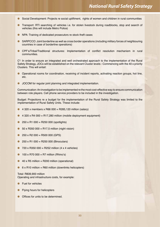- Social Development: Projects re social upliftment, rights of women and children in rural communities
- Transport: RTI searching of vehicles i.e. for stolen livestock during roadblocks, stop and search of vehicles (this will include Metro Police)
- NPA: Training of dedicated prosecutors re stock theft cases
- SARPCCO: Joint borderline as well as cross border operations (including military forces of neighbouring countries in case of borderline operations)
- CPF's/Tribal/Traditional structures: Implementation of conflict resolution mechanism in rural communities.

C4 : In order to ensure an integrated and well orchestrated approach to the implementation of the Rural Safety Strategy, JOCs will be established on the relevant Cluster levels - Commencing with the 40 x priority Clusters. This will entail:

- Operational rooms for coordination, receiving of incident reports, activating reaction groups, hot line, etc.
- JOCOM for regular joint planning and integrated implementation.

Communication: An investigation to be implemented re the most cost-effective way to ensure communication between role players. Cell phone service providers to be included in the investigation.

Budget: Projections re a budget for the implementation of the Rural Safety Strategy was limited to the implementation of Rural Safety Units. These include:

- $\bullet$  4 320 x members x R66 000 = R285,120 million (salary)
- $4$  320 x R4 000 = R17,280 million (mobile deployment equipment)
- $\bullet$  250 x R1 000 = R250 000 (spotlights)
- $\bullet$  50 x R350 000 = R17,5 million (night vision)
- $\bullet$  250 x R2 000 = R500 000 (GPS)
- 250 x R1 000 = R250 000 (Binoculars)
- $\bullet$  720 x R350 000 = R252 million (4 x 4 vehicles)
- $\bullet$  100 x R70 000 = R7 million (Rhino's)
- $40 \times$  R5 million = R200 million (operational)
- $6 \times$  R10 million = R60 million (downlinks helicopters)

Total: R839,900 million Operating and infrastructure costs, for example:

- Fuel for vehicles
- Flying hours for helicopters
- Offices for units to be determined.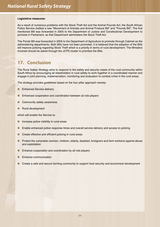#### **Legislative measures:**

As a result of numerous problems with the Stock Theft Act and the Animal Pounds Act, the South African Police Service drafted a new "Movement of Animals and Animal Produce Bill" and "Pounds Bill". The first mentioned Bill was forwarded in 2005 to the Department of Justice and Constitutional Development to promote in Parliament, as that Department administers the Stock Theft Act.

The Ponds Bill was forwarded in 2005 to the Department of Agriculture to promote through Cabinet as the administering departments. Both Bills have not been promoted. It is believed that the adoption of the Bills will improve policing regarding Stock Theft which is a priority in terms of rural development. The Ministers involved should be asked through the JCPS cluster to prioritize the Bills.

## **17. Conclusion**

The Rural Safety Strategy aims to respond to the safety and security needs of the rural community within South Africa by encouraging all stakeholders in rural safety to work together in a coordinated manner and engage in joint planning, implementation, monitoring and evaluation to combat crime in the rural areas.

The strategy provides guidelines based on the four pillar approach namely:

- **Enhanced Service delivery**
- Enhanced cooperation and coordination between all role players
- Community safety awareness
- Rural development

which will enable the Service to:

- **•** Increase police visibility in rural areas
- Enable enhanced police response times and overall service delivery and access to policing
- Create effective and efficient policing in rural areas
- Protect the vulnerable (women, children, elderly, disabled, foreigners and farm workers) against abuse and exploitation
- Enhance cooperation and coordination by all role players
- **Enhance communication**
- Create a safe and secure farming community to support food security and economical development